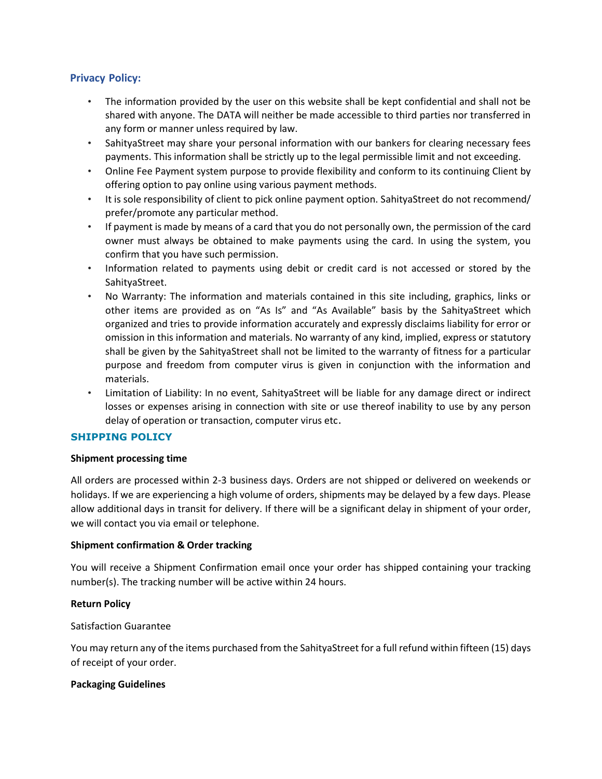## **Privacy Policy:**

- The information provided by the user on this website shall be kept confidential and shall not be shared with anyone. The DATA will neither be made accessible to third parties nor transferred in any form or manner unless required by law.
- SahityaStreet may share your personal information with our bankers for clearing necessary fees payments. This information shall be strictly up to the legal permissible limit and not exceeding.
- Online Fee Payment system purpose to provide flexibility and conform to its continuing Client by offering option to pay online using various payment methods.
- It is sole responsibility of client to pick online payment option. SahityaStreet do not recommend/ prefer/promote any particular method.
- If payment is made by means of a card that you do not personally own, the permission of the card owner must always be obtained to make payments using the card. In using the system, you confirm that you have such permission.
- Information related to payments using debit or credit card is not accessed or stored by the SahityaStreet.
- No Warranty: The information and materials contained in this site including, graphics, links or other items are provided as on "As Is" and "As Available" basis by the SahityaStreet which organized and tries to provide information accurately and expressly disclaims liability for error or omission in this information and materials. No warranty of any kind, implied, express or statutory shall be given by the SahityaStreet shall not be limited to the warranty of fitness for a particular purpose and freedom from computer virus is given in conjunction with the information and materials.
- Limitation of Liability: In no event, SahityaStreet will be liable for any damage direct or indirect losses or expenses arising in connection with site or use thereof inability to use by any person delay of operation or transaction, computer virus etc.

## **SHIPPING POLICY**

## **Shipment processing time**

All orders are processed within 2-3 business days. Orders are not shipped or delivered on weekends or holidays. If we are experiencing a high volume of orders, shipments may be delayed by a few days. Please allow additional days in transit for delivery. If there will be a significant delay in shipment of your order, we will contact you via email or telephone.

## **Shipment confirmation & Order tracking**

You will receive a Shipment Confirmation email once your order has shipped containing your tracking number(s). The tracking number will be active within 24 hours.

## **Return Policy**

## Satisfaction Guarantee

You may return any of the items purchased from the SahityaStreet for a full refund within fifteen (15) days of receipt of your order.

## **Packaging Guidelines**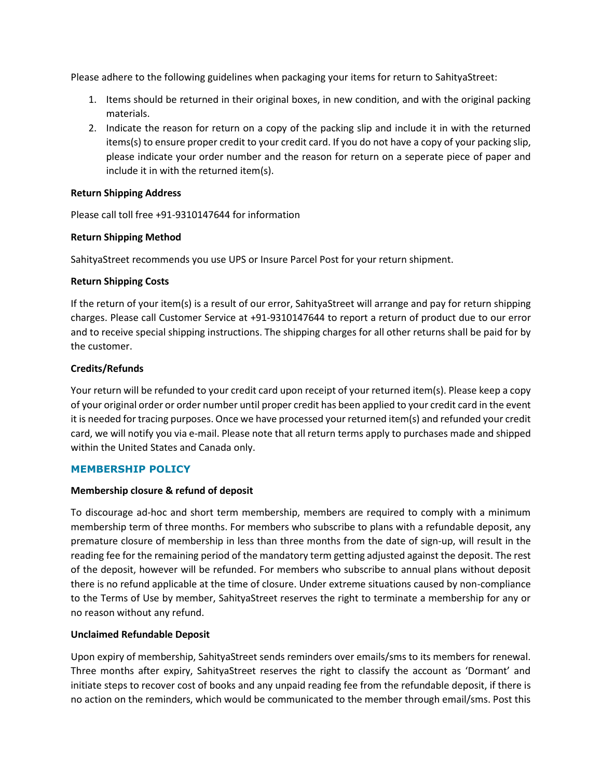Please adhere to the following guidelines when packaging your items for return to SahityaStreet:

- 1. Items should be returned in their original boxes, in new condition, and with the original packing materials.
- 2. Indicate the reason for return on a copy of the packing slip and include it in with the returned items(s) to ensure proper credit to your credit card. If you do not have a copy of your packing slip, please indicate your order number and the reason for return on a seperate piece of paper and include it in with the returned item(s).

## **Return Shipping Address**

Please call toll free +91-9310147644 for information

## **Return Shipping Method**

SahityaStreet recommends you use UPS or Insure Parcel Post for your return shipment.

## **Return Shipping Costs**

If the return of your item(s) is a result of our error, SahityaStreet will arrange and pay for return shipping charges. Please call Customer Service at +91-9310147644 to report a return of product due to our error and to receive special shipping instructions. The shipping charges for all other returns shall be paid for by the customer.

## **Credits/Refunds**

Your return will be refunded to your credit card upon receipt of your returned item(s). Please keep a copy of your original order or order number until proper credit has been applied to your credit card in the event it is needed for tracing purposes. Once we have processed your returned item(s) and refunded your credit card, we will notify you via e-mail. Please note that all return terms apply to purchases made and shipped within the United States and Canada only.

## **MEMBERSHIP POLICY**

# **Membership closure & refund of deposit**

To discourage ad-hoc and short term membership, members are required to comply with a minimum membership term of three months. For members who subscribe to plans with a refundable deposit, any premature closure of membership in less than three months from the date of sign-up, will result in the reading fee for the remaining period of the mandatory term getting adjusted against the deposit. The rest of the deposit, however will be refunded. For members who subscribe to annual plans without deposit there is no refund applicable at the time of closure. Under extreme situations caused by non-compliance to the Terms of Use by member, SahityaStreet reserves the right to terminate a membership for any or no reason without any refund.

# **Unclaimed Refundable Deposit**

Upon expiry of membership, SahityaStreet sends reminders over emails/sms to its members for renewal. Three months after expiry, SahityaStreet reserves the right to classify the account as 'Dormant' and initiate steps to recover cost of books and any unpaid reading fee from the refundable deposit, if there is no action on the reminders, which would be communicated to the member through email/sms. Post this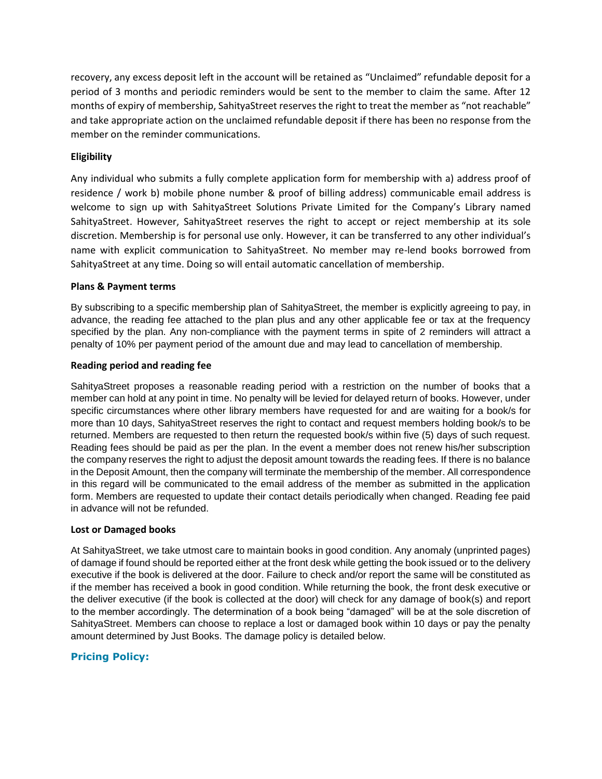recovery, any excess deposit left in the account will be retained as "Unclaimed" refundable deposit for a period of 3 months and periodic reminders would be sent to the member to claim the same. After 12 months of expiry of membership, SahityaStreet reserves the right to treat the member as "not reachable" and take appropriate action on the unclaimed refundable deposit if there has been no response from the member on the reminder communications.

## **Eligibility**

Any individual who submits a fully complete application form for membership with a) address proof of residence / work b) mobile phone number & proof of billing address) communicable email address is welcome to sign up with SahityaStreet Solutions Private Limited for the Company's Library named SahityaStreet. However, SahityaStreet reserves the right to accept or reject membership at its sole discretion. Membership is for personal use only. However, it can be transferred to any other individual's name with explicit communication to SahityaStreet. No member may re-lend books borrowed from SahityaStreet at any time. Doing so will entail automatic cancellation of membership.

## **Plans & Payment terms**

By subscribing to a specific membership plan of SahityaStreet, the member is explicitly agreeing to pay, in advance, the reading fee attached to the plan plus and any other applicable fee or tax at the frequency specified by the plan. Any non-compliance with the payment terms in spite of 2 reminders will attract a penalty of 10% per payment period of the amount due and may lead to cancellation of membership.

## **Reading period and reading fee**

SahityaStreet proposes a reasonable reading period with a restriction on the number of books that a member can hold at any point in time. No penalty will be levied for delayed return of books. However, under specific circumstances where other library members have requested for and are waiting for a book/s for more than 10 days, SahityaStreet reserves the right to contact and request members holding book/s to be returned. Members are requested to then return the requested book/s within five (5) days of such request. Reading fees should be paid as per the plan. In the event a member does not renew his/her subscription the company reserves the right to adjust the deposit amount towards the reading fees. If there is no balance in the Deposit Amount, then the company will terminate the membership of the member. All correspondence in this regard will be communicated to the email address of the member as submitted in the application form. Members are requested to update their contact details periodically when changed. Reading fee paid in advance will not be refunded.

#### **Lost or Damaged books**

At SahityaStreet, we take utmost care to maintain books in good condition. Any anomaly (unprinted pages) of damage if found should be reported either at the front desk while getting the book issued or to the delivery executive if the book is delivered at the door. Failure to check and/or report the same will be constituted as if the member has received a book in good condition. While returning the book, the front desk executive or the deliver executive (if the book is collected at the door) will check for any damage of book(s) and report to the member accordingly. The determination of a book being "damaged" will be at the sole discretion of SahityaStreet. Members can choose to replace a lost or damaged book within 10 days or pay the penalty amount determined by Just Books. The damage policy is detailed below.

# **Pricing Policy:**